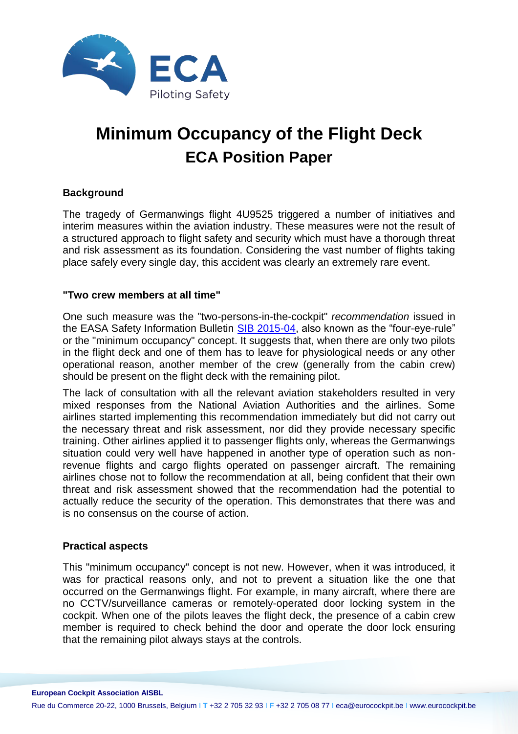

# **Minimum Occupancy of the Flight Deck ECA Position Paper**

### **Background**

The tragedy of Germanwings flight 4U9525 triggered a number of initiatives and interim measures within the aviation industry. These measures were not the result of a structured approach to flight safety and security which must have a thorough threat and risk assessment as its foundation. Considering the vast number of flights taking place safely every single day, this accident was clearly an extremely rare event.

#### **"Two crew members at all time"**

One such measure was the "two-persons-in-the-cockpit" *recommendation* issued in the EASA Safety Information Bulletin [SIB 2015-04,](http://ad.easa.europa.eu/ad/2015-04) also known as the "four-eye-rule" or the "minimum occupancy" concept. It suggests that, when there are only two pilots in the flight deck and one of them has to leave for physiological needs or any other operational reason, another member of the crew (generally from the cabin crew) should be present on the flight deck with the remaining pilot.

The lack of consultation with all the relevant aviation stakeholders resulted in very mixed responses from the National Aviation Authorities and the airlines. Some airlines started implementing this recommendation immediately but did not carry out the necessary threat and risk assessment, nor did they provide necessary specific training. Other airlines applied it to passenger flights only, whereas the Germanwings situation could very well have happened in another type of operation such as nonrevenue flights and cargo flights operated on passenger aircraft. The remaining airlines chose not to follow the recommendation at all, being confident that their own threat and risk assessment showed that the recommendation had the potential to actually reduce the security of the operation. This demonstrates that there was and is no consensus on the course of action.

#### **Practical aspects**

This "minimum occupancy" concept is not new. However, when it was introduced, it was for practical reasons only, and not to prevent a situation like the one that occurred on the Germanwings flight. For example, in many aircraft, where there are no CCTV/surveillance cameras or remotely-operated door locking system in the cockpit. When one of the pilots leaves the flight deck, the presence of a cabin crew member is required to check behind the door and operate the door lock ensuring that the remaining pilot always stays at the controls.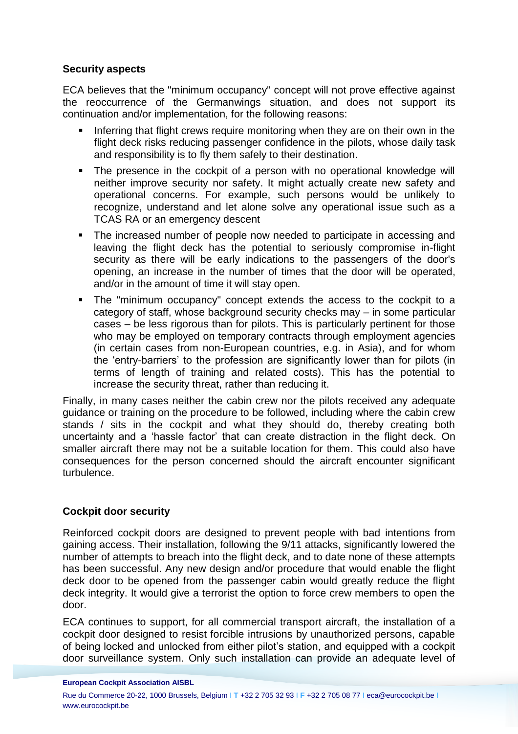### **Security aspects**

ECA believes that the "minimum occupancy" concept will not prove effective against the reoccurrence of the Germanwings situation, and does not support its continuation and/or implementation, for the following reasons:

- Inferring that flight crews require monitoring when they are on their own in the flight deck risks reducing passenger confidence in the pilots, whose daily task and responsibility is to fly them safely to their destination.
- The presence in the cockpit of a person with no operational knowledge will neither improve security nor safety. It might actually create new safety and operational concerns. For example, such persons would be unlikely to recognize, understand and let alone solve any operational issue such as a TCAS RA or an emergency descent
- The increased number of people now needed to participate in accessing and leaving the flight deck has the potential to seriously compromise in-flight security as there will be early indications to the passengers of the door's opening, an increase in the number of times that the door will be operated, and/or in the amount of time it will stay open.
- The "minimum occupancy" concept extends the access to the cockpit to a category of staff, whose background security checks may – in some particular cases – be less rigorous than for pilots. This is particularly pertinent for those who may be employed on temporary contracts through employment agencies (in certain cases from non-European countries, e.g. in Asia), and for whom the 'entry-barriers' to the profession are significantly lower than for pilots (in terms of length of training and related costs). This has the potential to increase the security threat, rather than reducing it.

Finally, in many cases neither the cabin crew nor the pilots received any adequate guidance or training on the procedure to be followed, including where the cabin crew stands / sits in the cockpit and what they should do, thereby creating both uncertainty and a 'hassle factor' that can create distraction in the flight deck. On smaller aircraft there may not be a suitable location for them. This could also have consequences for the person concerned should the aircraft encounter significant turbulence.

# **Cockpit door security**

Reinforced cockpit doors are designed to prevent people with bad intentions from gaining access. Their installation, following the 9/11 attacks, significantly lowered the number of attempts to breach into the flight deck, and to date none of these attempts has been successful. Any new design and/or procedure that would enable the flight deck door to be opened from the passenger cabin would greatly reduce the flight deck integrity. It would give a terrorist the option to force crew members to open the door.

ECA continues to support, for all commercial transport aircraft, the installation of a cockpit door designed to resist forcible intrusions by unauthorized persons, capable of being locked and unlocked from either pilot's station, and equipped with a cockpit door surveillance system. Only such installation can provide an adequate level of

#### **European Cockpit Association AISBL**

Rue du Commerce 20-22, 1000 Brussels, Belgium I **T** +32 2 705 32 93 I **F** +32 2 705 08 77 I eca@eurocockpit.be I www.eurocockpit.be